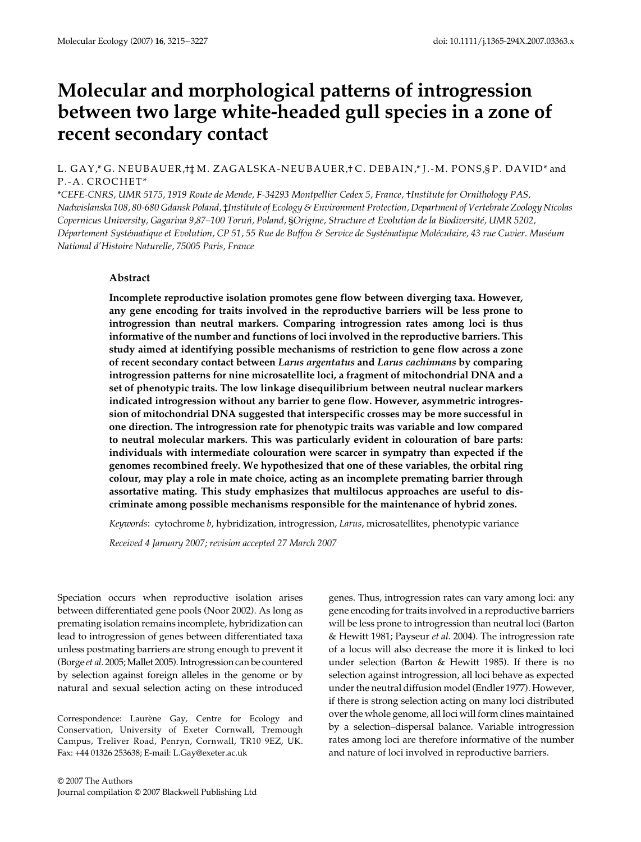# **Molecular and morphological patterns of introgression between two large white-headed gull species in a zone of recent secondary contact**

L. GAY,\* G. NEUBAUER,†‡ M. ZAGALSKA-NEUBAUER,† C. DEBAIN,\* J.-M. PONS,§ P. DAVID\* and P.-A. CROCHET\*

\**CEFE-CNRS, UMR 5175, 1919 Route de Mende, F-34293 Montpellier Cedex 5, France,* †*Institute for Ornithology PAS, Nadwislanska 108, 80-680 Gdansk Poland,* ‡*Institute of Ecology & Environment Protection, Department of Vertebrate Zoology Nicolas Copernicus University, Gagarina 9,87–100 Toru*˜*, Poland,* §*Origine, Structure et Evolution de la Biodiversité, UMR 5202, Département Systématique et Evolution, CP 51, 55 Rue de Buffon & Service de Systématique Moléculaire, 43 rue Cuvier. Muséum National d'Histoire Naturelle, 75005 Paris, France*

### **Abstract**

**Incomplete reproductive isolation promotes gene flow between diverging taxa. However, any gene encoding for traits involved in the reproductive barriers will be less prone to introgression than neutral markers. Comparing introgression rates among loci is thus informative of the number and functions of loci involved in the reproductive barriers. This study aimed at identifying possible mechanisms of restriction to gene flow across a zone of recent secondary contact between** *Larus argentatus* **and** *Larus cachinnans* **by comparing introgression patterns for nine microsatellite loci, a fragment of mitochondrial DNA and a set of phenotypic traits. The low linkage disequilibrium between neutral nuclear markers indicated introgression without any barrier to gene flow. However, asymmetric introgression of mitochondrial DNA suggested that interspecific crosses may be more successful in one direction. The introgression rate for phenotypic traits was variable and low compared to neutral molecular markers. This was particularly evident in colouration of bare parts: individuals with intermediate colouration were scarcer in sympatry than expected if the genomes recombined freely. We hypothesized that one of these variables, the orbital ring colour, may play a role in mate choice, acting as an incomplete premating barrier through assortative mating. This study emphasizes that multilocus approaches are useful to discriminate among possible mechanisms responsible for the maintenance of hybrid zones.**

*Keywords*: cytochrome *b*, hybridization, introgression, *Larus*, microsatellites, phenotypic variance

*Received 4 January 2007; revision accepted 27 March 2007*

Speciation occurs when reproductive isolation arises between differentiated gene pools (Noor 2002). As long as premating isolation remains incomplete, hybridization can lead to introgression of genes between differentiated taxa unless postmating barriers are strong enough to prevent it (Borge *et al*. 2005; Mallet 2005). Introgression can be countered by selection against foreign alleles in the genome or by natural and sexual selection acting on these introduced

Correspondence: Laurène Gay, Centre for Ecology and Conservation, University of Exeter Cornwall, Tremough Campus, Treliver Road, Penryn, Cornwall, TR10 9EZ, UK. Fax: +44 01326 253638; E-mail: L.Gay@exeter.ac.uk

genes. Thus, introgression rates can vary among loci: any gene encoding for traits involved in a reproductive barriers will be less prone to introgression than neutral loci (Barton & Hewitt 1981; Payseur *et al*. 2004). The introgression rate of a locus will also decrease the more it is linked to loci under selection (Barton & Hewitt 1985). If there is no selection against introgression, all loci behave as expected under the neutral diffusion model (Endler 1977). However, if there is strong selection acting on many loci distributed over the whole genome, all loci will form clines maintained by a selection–dispersal balance. Variable introgression rates among loci are therefore informative of the number and nature of loci involved in reproductive barriers.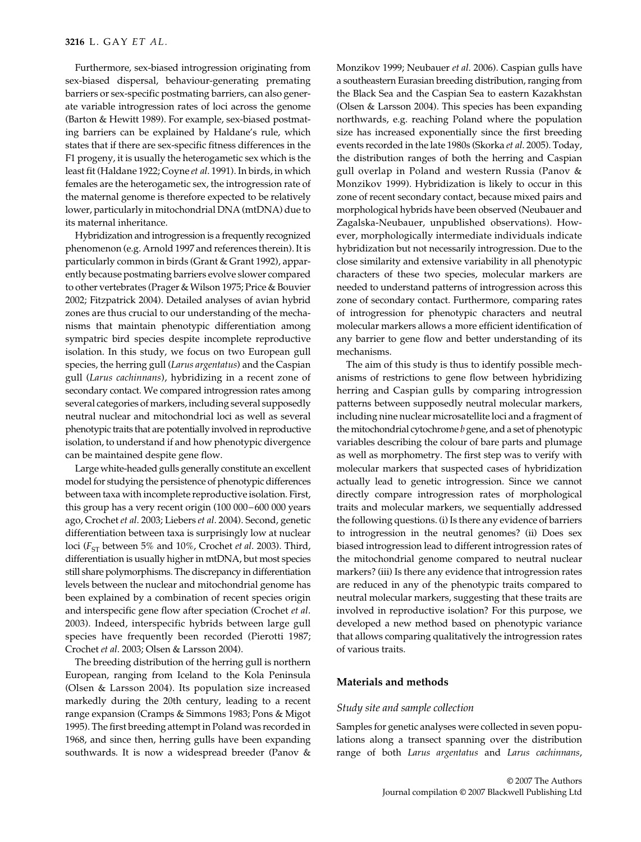Furthermore, sex-biased introgression originating from sex-biased dispersal, behaviour-generating premating barriers or sex-specific postmating barriers, can also generate variable introgression rates of loci across the genome (Barton & Hewitt 1989). For example, sex-biased postmating barriers can be explained by Haldane's rule, which states that if there are sex-specific fitness differences in the F1 progeny, it is usually the heterogametic sex which is the least fit (Haldane 1922; Coyne *et al*. 1991). In birds, in which females are the heterogametic sex, the introgression rate of the maternal genome is therefore expected to be relatively lower, particularly in mitochondrial DNA (mtDNA) due to its maternal inheritance.

Hybridization and introgression is a frequently recognized phenomenon (e.g. Arnold 1997 and references therein). It is particularly common in birds (Grant & Grant 1992), apparently because postmating barriers evolve slower compared to other vertebrates (Prager & Wilson 1975; Price & Bouvier 2002; Fitzpatrick 2004). Detailed analyses of avian hybrid zones are thus crucial to our understanding of the mechanisms that maintain phenotypic differentiation among sympatric bird species despite incomplete reproductive isolation. In this study, we focus on two European gull species, the herring gull (*Larus argentatus*) and the Caspian gull (*Larus cachinnans*), hybridizing in a recent zone of secondary contact. We compared introgression rates among several categories of markers, including several supposedly neutral nuclear and mitochondrial loci as well as several phenotypic traits that are potentially involved in reproductive isolation, to understand if and how phenotypic divergence can be maintained despite gene flow.

Large white-headed gulls generally constitute an excellent model for studying the persistence of phenotypic differences between taxa with incomplete reproductive isolation. First, this group has a very recent origin (100 000–600 000 years ago, Crochet *et al*. 2003; Liebers *et al*. 2004). Second, genetic differentiation between taxa is surprisingly low at nuclear loci ( $F_{ST}$  between 5% and 10%, Crochet *et al*. 2003). Third, differentiation is usually higher in mtDNA, but most species still share polymorphisms. The discrepancy in differentiation levels between the nuclear and mitochondrial genome has been explained by a combination of recent species origin and interspecific gene flow after speciation (Crochet *et al*. 2003). Indeed, interspecific hybrids between large gull species have frequently been recorded (Pierotti 1987; Crochet *et al*. 2003; Olsen & Larsson 2004).

The breeding distribution of the herring gull is northern European, ranging from Iceland to the Kola Peninsula (Olsen & Larsson 2004). Its population size increased markedly during the 20th century, leading to a recent range expansion (Cramps & Simmons 1983; Pons & Migot 1995). The first breeding attempt in Poland was recorded in 1968, and since then, herring gulls have been expanding southwards. It is now a widespread breeder (Panov & Monzikov 1999; Neubauer *et al*. 2006). Caspian gulls have a southeastern Eurasian breeding distribution, ranging from the Black Sea and the Caspian Sea to eastern Kazakhstan (Olsen & Larsson 2004). This species has been expanding northwards, e.g. reaching Poland where the population size has increased exponentially since the first breeding events recorded in the late 1980s (Skorka *et al*. 2005). Today, the distribution ranges of both the herring and Caspian gull overlap in Poland and western Russia (Panov & Monzikov 1999). Hybridization is likely to occur in this zone of recent secondary contact, because mixed pairs and morphological hybrids have been observed (Neubauer and Zagalska-Neubauer, unpublished observations). However, morphologically intermediate individuals indicate hybridization but not necessarily introgression. Due to the close similarity and extensive variability in all phenotypic characters of these two species, molecular markers are needed to understand patterns of introgression across this zone of secondary contact. Furthermore, comparing rates of introgression for phenotypic characters and neutral molecular markers allows a more efficient identification of any barrier to gene flow and better understanding of its mechanisms.

The aim of this study is thus to identify possible mechanisms of restrictions to gene flow between hybridizing herring and Caspian gulls by comparing introgression patterns between supposedly neutral molecular markers, including nine nuclear microsatellite loci and a fragment of the mitochondrial cytochrome *b* gene, and a set of phenotypic variables describing the colour of bare parts and plumage as well as morphometry. The first step was to verify with molecular markers that suspected cases of hybridization actually lead to genetic introgression. Since we cannot directly compare introgression rates of morphological traits and molecular markers, we sequentially addressed the following questions. (i) Is there any evidence of barriers to introgression in the neutral genomes? (ii) Does sex biased introgression lead to different introgression rates of the mitochondrial genome compared to neutral nuclear markers? (iii) Is there any evidence that introgression rates are reduced in any of the phenotypic traits compared to neutral molecular markers, suggesting that these traits are involved in reproductive isolation? For this purpose, we developed a new method based on phenotypic variance that allows comparing qualitatively the introgression rates of various traits.

#### **Materials and methods**

#### *Study site and sample collection*

Samples for genetic analyses were collected in seven populations along a transect spanning over the distribution range of both *Larus argentatus* and *Larus cachinnans*,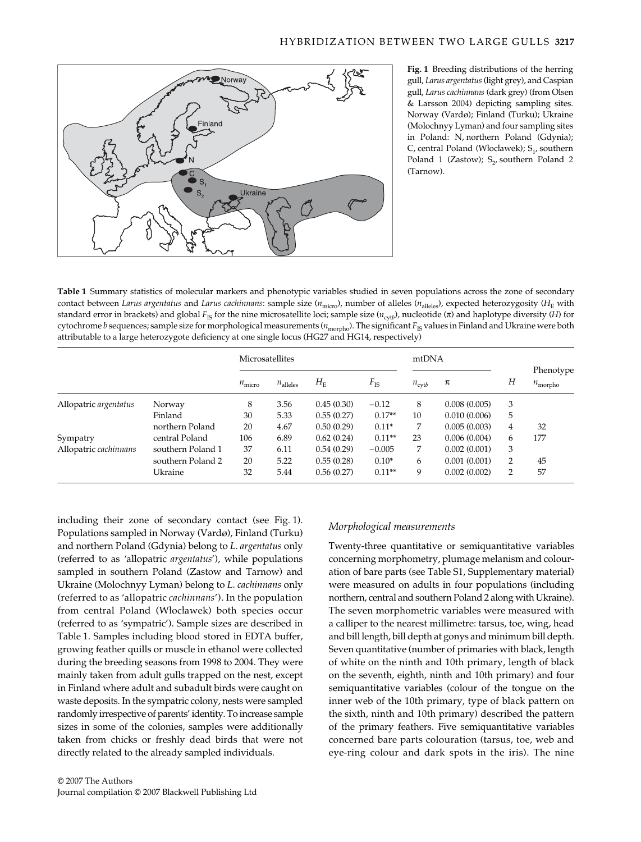

**Fig. 1** Breeding distributions of the herring gull, *Larus argentatus*(light grey), and Caspian gull, *Larus cachinnans* (dark grey) (from Olsen & Larsson 2004) depicting sampling sites. Norway (Vardø); Finland (Turku); Ukraine (Molochnyy Lyman) and four sampling sites in Poland: N, northern Poland (Gdynia); C, central Poland (Włocławek);  $S_1$ , southern Poland 1 (Zastow);  $S_2$ , southern Poland 2 (Tarnow).

**Table 1** Summary statistics of molecular markers and phenotypic variables studied in seven populations across the zone of secondary contact between *Larus argentatus* and *Larus cachinnans*: sample size  $(n_{\text{micro}})$ , number of alleles  $(n_{\text{alleles}})$ , expected heterozygosity  $(H_E$  with standard error in brackets) and global *F*<sub>IS</sub> for the nine microsatellite loci; sample size (*n*<sub>cvtb</sub>), nucleotide (π) and haplotype diversity (*H*) for cytochrome *b* sequences; sample size for morphological measurements ( $n_{\text{morpho}}$ ). The significant  $F_{IS}$  values in Finland and Ukraine were both attributable to a large heterozygote deficiency at one single locus (HG27 and HG14, respectively)

|                       |                   | Microsatellites    |                      |             |              | mtDNA           |              |                |                               |
|-----------------------|-------------------|--------------------|----------------------|-------------|--------------|-----------------|--------------|----------------|-------------------------------|
|                       |                   | $n_{\text{micro}}$ | $n_{\text{alleles}}$ | $H_{\rm E}$ | $F_{\rm IS}$ | $n_{\rm{cvtb}}$ | π            | Н              | Phenotype<br>$n_{\rm morpho}$ |
| Allopatric argentatus | Norway            | 8                  | 3.56                 | 0.45(0.30)  | $-0.12$      | 8               | 0.008(0.005) | 3              |                               |
|                       | Finland           | 30                 | 5.33                 | 0.55(0.27)  | $0.17**$     | 10              | 0.010(0.006) | 5              |                               |
|                       | northern Poland   | 20                 | 4.67                 | 0.50(0.29)  | $0.11*$      | 7               | 0.005(0.003) | 4              | 32                            |
| Sympatry              | central Poland    | 106                | 6.89                 | 0.62(0.24)  | $0.11**$     | 23              | 0.006(0.004) | 6              | 177                           |
| Allopatric cachinnans | southern Poland 1 | 37                 | 6.11                 | 0.54(0.29)  | $-0.005$     | 7               | 0.002(0.001) | 3              |                               |
|                       | southern Poland 2 | 20                 | 5.22                 | 0.55(0.28)  | $0.10*$      | 6               | 0.001(0.001) | $\overline{2}$ | 45                            |
|                       | Ukraine           | 32                 | 5.44                 | 0.56(0.27)  | $0.11**$     | 9               | 0.002(0.002) | $\overline{2}$ | 57                            |

including their zone of secondary contact (see Fig. 1). Populations sampled in Norway (Vardø), Finland (Turku) and northern Poland (Gdynia) belong to *L. argentatus* only (referred to as 'allopatric *argentatus*'), while populations sampled in southern Poland (Zastow and Tarnow) and Ukraine (Molochnyy Lyman) belong to *L. cachinnans* only (referred to as 'allopatric *cachinnans*'). In the population from central Poland (Wloclawek) both species occur (referred to as 'sympatric'). Sample sizes are described in Table 1. Samples including blood stored in EDTA buffer, growing feather quills or muscle in ethanol were collected during the breeding seasons from 1998 to 2004. They were mainly taken from adult gulls trapped on the nest, except in Finland where adult and subadult birds were caught on waste deposits. In the sympatric colony, nests were sampled randomly irrespective of parents' identity. To increase sample sizes in some of the colonies, samples were additionally taken from chicks or freshly dead birds that were not directly related to the already sampled individuals.

# *Morphological measurements*

Twenty-three quantitative or semiquantitative variables concerning morphometry, plumage melanism and colouration of bare parts (see Table S1, Supplementary material) were measured on adults in four populations (including northern, central and southern Poland 2 along with Ukraine). The seven morphometric variables were measured with a calliper to the nearest millimetre: tarsus, toe, wing, head and bill length, bill depth at gonys and minimum bill depth. Seven quantitative (number of primaries with black, length of white on the ninth and 10th primary, length of black on the seventh, eighth, ninth and 10th primary) and four semiquantitative variables (colour of the tongue on the inner web of the 10th primary, type of black pattern on the sixth, ninth and 10th primary) described the pattern of the primary feathers. Five semiquantitative variables concerned bare parts colouration (tarsus, toe, web and eye-ring colour and dark spots in the iris). The nine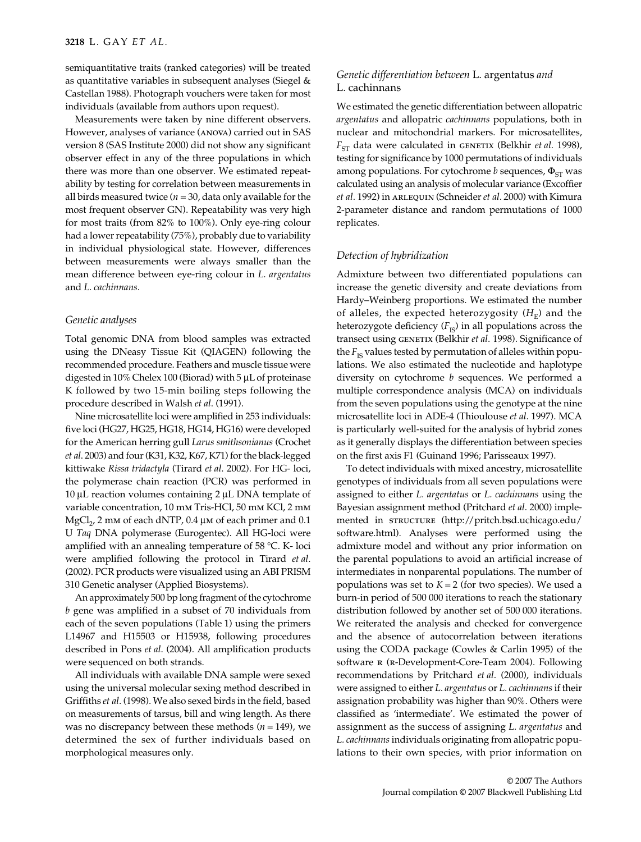semiquantitative traits (ranked categories) will be treated as quantitative variables in subsequent analyses (Siegel & Castellan 1988). Photograph vouchers were taken for most individuals (available from authors upon request).

Measurements were taken by nine different observers. However, analyses of variance (anova) carried out in SAS version 8 (SAS Institute 2000) did not show any significant observer effect in any of the three populations in which there was more than one observer. We estimated repeatability by testing for correlation between measurements in all birds measured twice  $(n = 30)$ , data only available for the most frequent observer GN). Repeatability was very high for most traits (from 82% to 100%). Only eye-ring colour had a lower repeatability (75%), probably due to variability in individual physiological state. However, differences between measurements were always smaller than the mean difference between eye-ring colour in *L. argentatus* and *L. cachinnans*.

#### *Genetic analyses*

Total genomic DNA from blood samples was extracted using the DNeasy Tissue Kit (QIAGEN) following the recommended procedure. Feathers and muscle tissue were digested in 10% Chelex 100 (Biorad) with 5 µL of proteinase K followed by two 15-min boiling steps following the procedure described in Walsh *et al*. (1991).

Nine microsatellite loci were amplified in 253 individuals: five loci (HG27, HG25, HG18, HG14, HG16) were developed for the American herring gull *Larus smithsonianus* (Crochet *et al*. 2003) and four (K31, K32, K67, K71) for the black-legged kittiwake *Rissa tridactyla* (Tirard *et al*. 2002). For HG- loci, the polymerase chain reaction (PCR) was performed in 10 µL reaction volumes containing 2 µL DNA template of variable concentration, 10 mm Tris-HCl, 50 mm KCl, 2 mm  $MgCl<sub>2</sub>$ , 2 mm of each dNTP, 0.4 µm of each primer and 0.1 U *Taq* DNA polymerase (Eurogentec). All HG-loci were amplified with an annealing temperature of 58 °C. K- loci were amplified following the protocol in Tirard *et al*. (2002). PCR products were visualized using an ABI PRISM 310 Genetic analyser (Applied Biosystems).

An approximately 500 bp long fragment of the cytochrome *b* gene was amplified in a subset of 70 individuals from each of the seven populations (Table 1) using the primers L14967 and H15503 or H15938, following procedures described in Pons *et al*. (2004). All amplification products were sequenced on both strands.

All individuals with available DNA sample were sexed using the universal molecular sexing method described in Griffiths *et al*. (1998). We also sexed birds in the field, based on measurements of tarsus, bill and wing length. As there was no discrepancy between these methods  $(n = 149)$ , we determined the sex of further individuals based on morphological measures only.

# *Genetic differentiation between* L. argentatus *and*  L. cachinnans

We estimated the genetic differentiation between allopatric *argentatus* and allopatric *cachinnans* populations, both in nuclear and mitochondrial markers. For microsatellites, *F*<sub>ST</sub> data were calculated in GENETIX (Belkhir *et al.* 1998), testing for significance by 1000 permutations of individuals among populations. For cytochrome *b* sequences, Φ<sub>ST</sub> was calculated using an analysis of molecular variance (Excoffier *et al*. 1992) in arlequin (Schneider *et al*. 2000) with Kimura 2-parameter distance and random permutations of 1000 replicates.

### *Detection of hybridization*

Admixture between two differentiated populations can increase the genetic diversity and create deviations from Hardy–Weinberg proportions. We estimated the number of alleles, the expected heterozygosity  $(H_F)$  and the heterozygote deficiency  $(F_{\text{IS}})$  in all populations across the transect using GENETIX (Belkhir *et al.* 1998). Significance of the  $F_{\text{IS}}$  values tested by permutation of alleles within populations. We also estimated the nucleotide and haplotype diversity on cytochrome *b* sequences. We performed a multiple correspondence analysis (MCA) on individuals from the seven populations using the genotype at the nine microsatellite loci in ADE-4 (Thioulouse *et al*. 1997). MCA is particularly well-suited for the analysis of hybrid zones as it generally displays the differentiation between species on the first axis F1 (Guinand 1996; Parisseaux 1997).

To detect individuals with mixed ancestry, microsatellite genotypes of individuals from all seven populations were assigned to either *L. argentatus* or *L. cachinnans* using the Bayesian assignment method (Pritchard *et al*. 2000) implemented in STRUCTURE (http://pritch.bsd.uchicago.edu/ software.html). Analyses were performed using the admixture model and without any prior information on the parental populations to avoid an artificial increase of intermediates in nonparental populations. The number of populations was set to  $K = 2$  (for two species). We used a burn-in period of 500 000 iterations to reach the stationary distribution followed by another set of 500 000 iterations. We reiterated the analysis and checked for convergence and the absence of autocorrelation between iterations using the CODA package (Cowles & Carlin 1995) of the software R (R-Development-Core-Team 2004). Following recommendations by Pritchard *et al*. (2000), individuals were assigned to either *L. argentatus* or *L. cachinnans* if their assignation probability was higher than 90%. Others were classified as 'intermediate'. We estimated the power of assignment as the success of assigning *L. argentatus* and *L. cachinnans*individuals originating from allopatric populations to their own species, with prior information on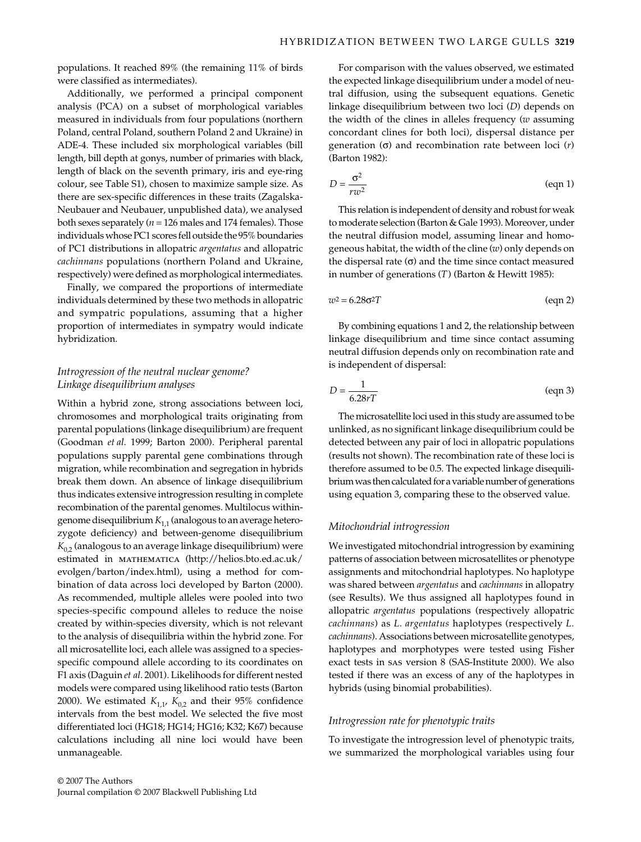populations. It reached 89% (the remaining 11% of birds were classified as intermediates).

Additionally, we performed a principal component analysis (PCA) on a subset of morphological variables measured in individuals from four populations (northern Poland, central Poland, southern Poland 2 and Ukraine) in ADE-4. These included six morphological variables (bill length, bill depth at gonys, number of primaries with black, length of black on the seventh primary, iris and eye-ring colour, see Table S1), chosen to maximize sample size. As there are sex-specific differences in these traits (Zagalska-Neubauer and Neubauer, unpublished data), we analysed both sexes separately  $(n = 126 \text{ males and } 174 \text{ females})$ . Those individuals whose PC1 scores fell outside the 95% boundaries of PC1 distributions in allopatric *argentatus* and allopatric *cachinnans* populations (northern Poland and Ukraine, respectively) were defined as morphological intermediates.

Finally, we compared the proportions of intermediate individuals determined by these two methods in allopatric and sympatric populations, assuming that a higher proportion of intermediates in sympatry would indicate hybridization.

# *Introgression of the neutral nuclear genome? Linkage disequilibrium analyses*

Within a hybrid zone, strong associations between loci, chromosomes and morphological traits originating from parental populations (linkage disequilibrium) are frequent (Goodman *et al*. 1999; Barton 2000). Peripheral parental populations supply parental gene combinations through migration, while recombination and segregation in hybrids break them down. An absence of linkage disequilibrium thus indicates extensive introgression resulting in complete recombination of the parental genomes. Multilocus withingenome disequilibrium *K*1,1 (analogous to an average heterozygote deficiency) and between-genome disequilibrium  $K_{0,2}$  (analogous to an average linkage disequilibrium) were estimated in mathematica (http://helios.bto.ed.ac.uk/ evolgen/barton/index.html), using a method for combination of data across loci developed by Barton (2000). As recommended, multiple alleles were pooled into two species-specific compound alleles to reduce the noise created by within-species diversity, which is not relevant to the analysis of disequilibria within the hybrid zone. For all microsatellite loci, each allele was assigned to a speciesspecific compound allele according to its coordinates on F1 axis (Daguin *et al*. 2001). Likelihoods for different nested models were compared using likelihood ratio tests (Barton 2000). We estimated  $K_{1,1}$ ,  $K_{0,2}$  and their 95% confidence intervals from the best model. We selected the five most differentiated loci (HG18; HG14; HG16; K32; K67) because calculations including all nine loci would have been unmanageable.

For comparison with the values observed, we estimated the expected linkage disequilibrium under a model of neutral diffusion, using the subsequent equations. Genetic linkage disequilibrium between two loci (*D*) depends on the width of the clines in alleles frequency (*w* assuming concordant clines for both loci), dispersal distance per generation (σ) and recombination rate between loci (*r*) (Barton 1982):

$$
D = \frac{\sigma^2}{r w^2}
$$
 (eqn 1)

This relation is independent of density and robust for weak to moderate selection (Barton & Gale 1993). Moreover, under the neutral diffusion model, assuming linear and homogeneous habitat, the width of the cline (*w*) only depends on the dispersal rate  $(σ)$  and the time since contact measured in number of generations (*T*) (Barton & Hewitt 1985):

$$
w^2 = 6.28\sigma^2 T \tag{eqn 2}
$$

By combining equations 1 and 2, the relationship between linkage disequilibrium and time since contact assuming neutral diffusion depends only on recombination rate and is independent of dispersal:

$$
D = \frac{1}{6.28rT}
$$
 (eqn 3)

The microsatellite loci used in this study are assumed to be unlinked, as no significant linkage disequilibrium could be detected between any pair of loci in allopatric populations (results not shown). The recombination rate of these loci is therefore assumed to be 0.5. The expected linkage disequilibrium was then calculated for a variable number of generations using equation 3, comparing these to the observed value.

#### *Mitochondrial introgression*

We investigated mitochondrial introgression by examining patterns of association between microsatellites or phenotype assignments and mitochondrial haplotypes. No haplotype was shared between *argentatus* and *cachinnans* in allopatry (see Results). We thus assigned all haplotypes found in allopatric *argentatus* populations (respectively allopatric *cachinnans*) as *L. argentatus* haplotypes (respectively *L. cachinnans*). Associations between microsatellite genotypes, haplotypes and morphotypes were tested using Fisher exact tests in sas version 8 (SAS-Institute 2000). We also tested if there was an excess of any of the haplotypes in hybrids (using binomial probabilities).

#### *Introgression rate for phenotypic traits*

To investigate the introgression level of phenotypic traits, we summarized the morphological variables using four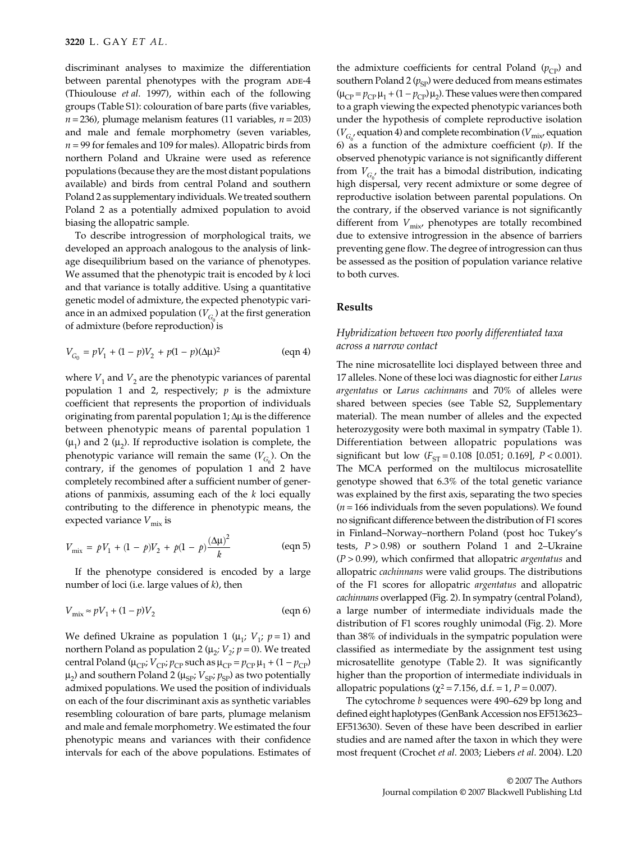discriminant analyses to maximize the differentiation between parental phenotypes with the program ADE-4 (Thioulouse *et al*. 1997), within each of the following groups (Table S1): colouration of bare parts (five variables, *n* = 236), plumage melanism features (11 variables, *n* = 203) and male and female morphometry (seven variables, *n* = 99 for females and 109 for males). Allopatric birds from northern Poland and Ukraine were used as reference populations (because they are the most distant populations available) and birds from central Poland and southern Poland 2 as supplementary individuals. We treated southern Poland 2 as a potentially admixed population to avoid biasing the allopatric sample.

To describe introgression of morphological traits, we developed an approach analogous to the analysis of linkage disequilibrium based on the variance of phenotypes. We assumed that the phenotypic trait is encoded by *k* loci and that variance is totally additive. Using a quantitative genetic model of admixture, the expected phenotypic variance in an admixed population  $(V_{G_0})$  at the first generation of admixture (before reproduction) is

$$
V_{G_0} = pV_1 + (1 - p)V_2 + p(1 - p)(\Delta \mu)^2
$$
 (eqn 4)

where  $V_1$  and  $V_2$  are the phenotypic variances of parental population 1 and 2, respectively; *p* is the admixture coefficient that represents the proportion of individuals originating from parental population 1; ∆µ is the difference between phenotypic means of parental population 1  $(\mu_1)$  and 2  $(\mu_2)$ . If reproductive isolation is complete, the phenotypic variance will remain the same  $(V_{G_0})$ . On the contrary, if the genomes of population 1 and 2 have completely recombined after a sufficient number of generations of panmixis, assuming each of the *k* loci equally contributing to the difference in phenotypic means, the expected variance  $V_{\text{mix}}$  is

$$
V_{\text{mix}} = pV_1 + (1 - p)V_2 + p(1 - p)\frac{(\Delta \mu)^2}{k}
$$
 (eqn 5)

If the phenotype considered is encoded by a large number of loci (i.e. large values of *k*), then

$$
V_{\text{mix}} \approx pV_1 + (1 - p)V_2 \tag{eqn 6}
$$

We defined Ukraine as population 1 ( $\mu_1$ ;  $V_1$ ;  $p = 1$ ) and northern Poland as population 2 ( $\mu$ <sub>2</sub>;  $V$ <sub>2</sub>;  $p$  = 0). We treated central Poland ( $\mu_{CP}$ ;  $V_{CP}$ ;  $p_{CP}$  such as  $\mu_{CP} = p_{CP} \mu_1 + (1 - p_{CP})$  $\mu$ <sub>2</sub>) and southern Poland 2 ( $\mu_{\rm sp}$ ;  $V_{\rm sp}$ ;  $p_{\rm sp}$ ) as two potentially admixed populations. We used the position of individuals on each of the four discriminant axis as synthetic variables resembling colouration of bare parts, plumage melanism and male and female morphometry. We estimated the four phenotypic means and variances with their confidence intervals for each of the above populations. Estimates of

the admixture coefficients for central Poland  $(p_{CP})$  and southern Poland 2  $(p_{SP})$  were deduced from means estimates  $(\mu_{CP} = p_{CP} \mu_1 + (1 - p_{CP}) \mu_2)$ . These values were then compared to a graph viewing the expected phenotypic variances both under the hypothesis of complete reproductive isolation  $(V_{G_0'}$  equation 4) and complete recombination  $(V_{\text{mix}},$  equation 6) as a function of the admixture coefficient (*p*). If the observed phenotypic variance is not significantly different from  $V_{G_0}$ , the trait has a bimodal distribution, indicating high dispersal, very recent admixture or some degree of reproductive isolation between parental populations. On the contrary, if the observed variance is not significantly different from  $V_{\text{mix}}$ , phenotypes are totally recombined due to extensive introgression in the absence of barriers preventing gene flow. The degree of introgression can thus be assessed as the position of population variance relative to both curves.

### **Results**

## *Hybridization between two poorly differentiated taxa across a narrow contact*

The nine microsatellite loci displayed between three and 17 alleles. None of these loci was diagnostic for either *Larus argentatus* or *Larus cachinnans* and 70% of alleles were shared between species (see Table S2, Supplementary material). The mean number of alleles and the expected heterozygosity were both maximal in sympatry (Table 1). Differentiation between allopatric populations was significant but low  $(F_{ST} = 0.108 \, [0.051; 0.169], P < 0.001)$ . The MCA performed on the multilocus microsatellite genotype showed that 6.3% of the total genetic variance was explained by the first axis, separating the two species (*n* = 166 individuals from the seven populations). We found no significant difference between the distribution of F1 scores in Finland–Norway–northern Poland (post hoc Tukey's tests, *P* > 0.98) or southern Poland 1 and 2–Ukraine (*P* > 0.99), which confirmed that allopatric *argentatus* and allopatric *cachinnans* were valid groups. The distributions of the F1 scores for allopatric *argentatus* and allopatric *cachinnans* overlapped (Fig. 2). In sympatry (central Poland), a large number of intermediate individuals made the distribution of F1 scores roughly unimodal (Fig. 2). More than 38% of individuals in the sympatric population were classified as intermediate by the assignment test using microsatellite genotype (Table 2). It was significantly higher than the proportion of intermediate individuals in allopatric populations ( $\chi^2$  = 7.156, d.f. = 1, *P* = 0.007).

The cytochrome *b* sequences were 490–629 bp long and defined eight haplotypes (GenBank Accession nos EF513623– EF513630). Seven of these have been described in earlier studies and are named after the taxon in which they were most frequent (Crochet *et al*. 2003; Liebers *et al*. 2004). L20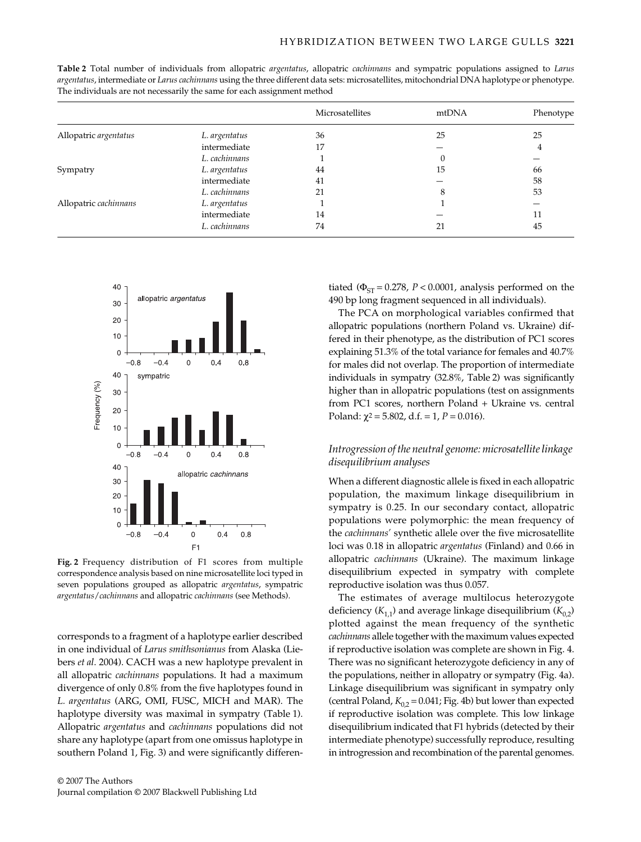**Table 2** Total number of individuals from allopatric *argentatus*, allopatric *cachinnans* and sympatric populations assigned to *Larus argentatus*, intermediate or *Larus cachinnans* using the three different data sets: microsatellites, mitochondrial DNA haplotype or phenotype. The individuals are not necessarily the same for each assignment method

|                       |               | Microsatellites | mtDNA | Phenotype |
|-----------------------|---------------|-----------------|-------|-----------|
| Allopatric argentatus | L. argentatus | 36              | 25    | 25        |
|                       | intermediate  | 17              |       | 4         |
|                       | L. cachinnans |                 |       |           |
| Sympatry              | L. argentatus | 44              | 15    | 66        |
|                       | intermediate  | 41              |       | 58        |
|                       | L. cachinnans | 21              | 8     | 53        |
| Allopatric cachinnans | L. argentatus |                 |       |           |
|                       | intermediate  | 14              |       | 11        |
|                       | L. cachinnans | 74              | 21    | 45        |



**Fig. 2** Frequency distribution of F1 scores from multiple correspondence analysis based on nine microsatellite loci typed in seven populations grouped as allopatric *argentatus*, sympatric *argentatus*/*cachinnans* and allopatric *cachinnans* (see Methods).

corresponds to a fragment of a haplotype earlier described in one individual of *Larus smithsonianus* from Alaska (Liebers *et al*. 2004). CACH was a new haplotype prevalent in all allopatric *cachinnans* populations. It had a maximum divergence of only 0.8% from the five haplotypes found in *L. argentatus* (ARG, OMI, FUSC, MICH and MAR). The haplotype diversity was maximal in sympatry (Table 1). Allopatric *argentatus* and *cachinnans* populations did not share any haplotype (apart from one omissus haplotype in southern Poland 1, Fig. 3) and were significantly differentiated ( $\Phi_{ST}$  = 0.278, *P* < 0.0001, analysis performed on the 490 bp long fragment sequenced in all individuals).

The PCA on morphological variables confirmed that allopatric populations (northern Poland vs. Ukraine) differed in their phenotype, as the distribution of PC1 scores explaining 51.3% of the total variance for females and 40.7% for males did not overlap. The proportion of intermediate individuals in sympatry (32.8%, Table 2) was significantly higher than in allopatric populations (test on assignments from PC1 scores, northern Poland + Ukraine vs. central Poland:  $\chi^2 = 5.802$ , d.f. = 1,  $P = 0.016$ ).

# *Introgression of the neutral genome: microsatellite linkage disequilibrium analyses*

When a different diagnostic allele is fixed in each allopatric population, the maximum linkage disequilibrium in sympatry is 0.25. In our secondary contact, allopatric populations were polymorphic: the mean frequency of the *cachinnans'* synthetic allele over the five microsatellite loci was 0.18 in allopatric *argentatus* (Finland) and 0.66 in allopatric *cachinnans* (Ukraine). The maximum linkage disequilibrium expected in sympatry with complete reproductive isolation was thus 0.057.

The estimates of average multilocus heterozygote deficiency  $(K_{1,1})$  and average linkage disequilibrium  $(K_{0,2})$ plotted against the mean frequency of the synthetic *cachinnans* allele together with the maximum values expected if reproductive isolation was complete are shown in Fig. 4. There was no significant heterozygote deficiency in any of the populations, neither in allopatry or sympatry (Fig. 4a). Linkage disequilibrium was significant in sympatry only (central Poland,  $K_{0,2} = 0.041$ ; Fig. 4b) but lower than expected if reproductive isolation was complete. This low linkage disequilibrium indicated that F1 hybrids (detected by their intermediate phenotype) successfully reproduce, resulting in introgression and recombination of the parental genomes.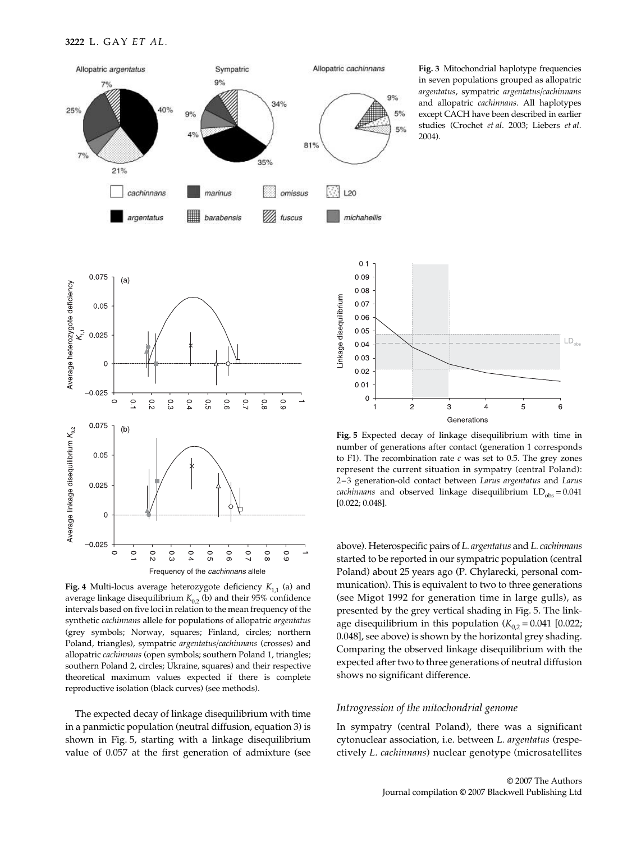

**Fig. 3** Mitochondrial haplotype frequencies in seven populations grouped as allopatric *argentatus*, sympatric *argentatus/cachinnans* and allopatric *cachinnans*. All haplotypes except CACH have been described in earlier studies (Crochet *et al*. 2003; Liebers *et al*. 2004).

 $9%$ 

5% 5%



**Fig. 5** Expected decay of linkage disequilibrium with time in number of generations after contact (generation 1 corresponds to F1). The recombination rate  $c$  was set to 0.5. The grey zones represent the current situation in sympatry (central Poland): 2–3 generation-old contact between *Larus argentatus* and *Larus cachinnans* and observed linkage disequilibrium  $LD<sub>obs</sub> = 0.041$ [0.022; 0.048].

above). Heterospecific pairs of *L. argentatus* and *L. cachinnans* started to be reported in our sympatric population (central Poland) about 25 years ago (P. Chylarecki, personal communication). This is equivalent to two to three generations (see Migot 1992 for generation time in large gulls), as presented by the grey vertical shading in Fig. 5. The linkage disequilibrium in this population  $(K_{0.2} = 0.041$  [0.022; 0.048], see above) is shown by the horizontal grey shading. Comparing the observed linkage disequilibrium with the expected after two to three generations of neutral diffusion shows no significant difference.

#### *Introgression of the mitochondrial genome*

In sympatry (central Poland), there was a significant cytonuclear association, i.e. between *L. argentatus* (respectively *L. cachinnans*) nuclear genotype (microsatellites

# The expected decay of linkage disequilibrium with time in a panmictic population (neutral diffusion, equation 3) is shown in Fig. 5, starting with a linkage disequilibrium value of 0.057 at the first generation of admixture (see

**Fig. 4** Multi-locus average heterozygote deficiency  $K_{1,1}$  (a) and average linkage disequilibrium  $K_{0,2}$  (b) and their 95% confidence intervals based on five loci in relation to the mean frequency of the synthetic *cachinnans* allele for populations of allopatric *argentatus* (grey symbols; Norway, squares; Finland, circles; northern Poland, triangles), sympatric *argentatus/cachinnans* (crosses) and allopatric *cachinnans* (open symbols; southern Poland 1, triangles; southern Poland 2, circles; Ukraine, squares) and their respective theoretical maximum values expected if there is complete

 $0.4$ 

 $\frac{0}{2}$  $0.6$  $\overline{2}$  $\overline{0.8}$  $60$ 

Frequency of the cachinnans allele

ο<br>ω

 $\overline{6}$ 

reproductive isolation (black curves) (see methods).

 $\Omega$ 

 $\ddot{\circ}$ 

 $-0.025$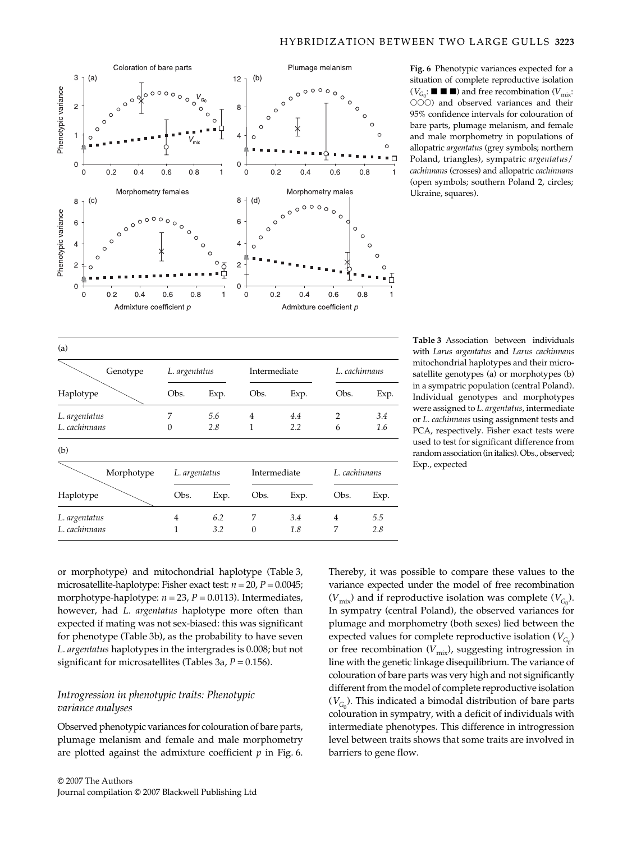

**Fig. 6** Phenotypic variances expected for a situation of complete reproductive isolation  $(V_{G_0}: \blacksquare \blacksquare)$  and free recombination  $(V_{\text{mix}}:$ OOO) and observed variances and their 95% confidence intervals for colouration of bare parts, plumage melanism, and female and male morphometry in populations of allopatric *argentatus* (grey symbols; northern Poland, triangles), sympatric *argentatus*/ *cachinnans* (crosses) and allopatric *cachinnans* (open symbols; southern Poland 2, circles; Ukraine, squares).

**Table 3** Association between individuals with *Larus argentatus* and *Larus cachinnans* mitochondrial haplotypes and their microsatellite genotypes (a) or morphotypes (b) in a sympatric population (central Poland). Individual genotypes and morphotypes were assigned to *L. argentatus*, intermediate or *L. cachinnans* using assignment tests and PCA, respectively. Fisher exact tests were used to test for significant difference from random association (in italics). Obs., observed; Exp., expected

or morphotype) and mitochondrial haplotype (Table 3, microsatellite-haplotype: Fisher exact test:  $n = 20$ ,  $P = 0.0045$ ; morphotype-haplotype:  $n = 23$ ,  $P = 0.0113$ ). Intermediates, however, had *L. argentatus* haplotype more often than expected if mating was not sex-biased: this was significant for phenotype (Table 3b), as the probability to have seven *L. argentatus* haplotypes in the intergrades is 0.008; but not significant for microsatellites (Tables 3a, *P* = 0.156).

# *Introgression in phenotypic traits: Phenotypic variance analyses*

Observed phenotypic variances for colouration of bare parts, plumage melanism and female and male morphometry are plotted against the admixture coefficient *p* in Fig. 6. Thereby, it was possible to compare these values to the variance expected under the model of free recombination  $(V_{\text{mix}})$  and if reproductive isolation was complete  $(V_{G_0})$ . In sympatry (central Poland), the observed variances for plumage and morphometry (both sexes) lied between the expected values for complete reproductive isolation  $(V_{G_0})$ or free recombination  $(V_{\text{mix}})$ , suggesting introgression in line with the genetic linkage disequilibrium. The variance of colouration of bare parts was very high and not significantly different from the model of complete reproductive isolation  $(V_{G_0})$ . This indicated a bimodal distribution of bare parts colouration in sympatry, with a deficit of individuals with intermediate phenotypes. This difference in introgression level between traits shows that some traits are involved in barriers to gene flow.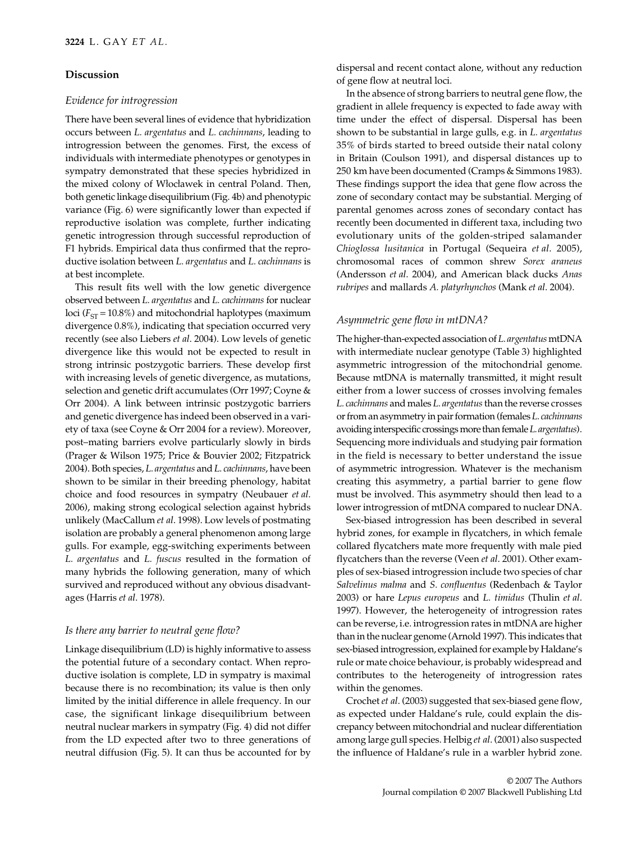#### **Discussion**

#### *Evidence for introgression*

There have been several lines of evidence that hybridization occurs between *L. argentatus* and *L. cachinnans*, leading to introgression between the genomes. First, the excess of individuals with intermediate phenotypes or genotypes in sympatry demonstrated that these species hybridized in the mixed colony of Wloclawek in central Poland. Then, both genetic linkage disequilibrium (Fig. 4b) and phenotypic variance (Fig. 6) were significantly lower than expected if reproductive isolation was complete, further indicating genetic introgression through successful reproduction of F1 hybrids. Empirical data thus confirmed that the reproductive isolation between *L. argentatus* and *L. cachinnans* is at best incomplete.

This result fits well with the low genetic divergence observed between *L. argentatus* and *L. cachinnans* for nuclear loci ( $F_{ST}$  = 10.8%) and mitochondrial haplotypes (maximum divergence 0.8%), indicating that speciation occurred very recently (see also Liebers *et al*. 2004). Low levels of genetic divergence like this would not be expected to result in strong intrinsic postzygotic barriers. These develop first with increasing levels of genetic divergence, as mutations, selection and genetic drift accumulates (Orr 1997; Coyne & Orr 2004). A link between intrinsic postzygotic barriers and genetic divergence has indeed been observed in a variety of taxa (see Coyne & Orr 2004 for a review). Moreover, post–mating barriers evolve particularly slowly in birds (Prager & Wilson 1975; Price & Bouvier 2002; Fitzpatrick 2004). Both species, *L. argentatus* and *L. cachinnans*, have been shown to be similar in their breeding phenology, habitat choice and food resources in sympatry (Neubauer *et al*. 2006), making strong ecological selection against hybrids unlikely (MacCallum *et al*. 1998). Low levels of postmating isolation are probably a general phenomenon among large gulls. For example, egg-switching experiments between *L. argentatus* and *L. fuscus* resulted in the formation of many hybrids the following generation, many of which survived and reproduced without any obvious disadvantages (Harris *et al*. 1978).

#### *Is there any barrier to neutral gene flow?*

Linkage disequilibrium (LD) is highly informative to assess the potential future of a secondary contact. When reproductive isolation is complete, LD in sympatry is maximal because there is no recombination; its value is then only limited by the initial difference in allele frequency. In our case, the significant linkage disequilibrium between neutral nuclear markers in sympatry (Fig. 4) did not differ from the LD expected after two to three generations of neutral diffusion (Fig. 5). It can thus be accounted for by

dispersal and recent contact alone, without any reduction of gene flow at neutral loci.

In the absence of strong barriers to neutral gene flow, the gradient in allele frequency is expected to fade away with time under the effect of dispersal. Dispersal has been shown to be substantial in large gulls, e.g. in *L. argentatus* 35% of birds started to breed outside their natal colony in Britain (Coulson 1991), and dispersal distances up to 250 km have been documented (Cramps & Simmons 1983). These findings support the idea that gene flow across the zone of secondary contact may be substantial. Merging of parental genomes across zones of secondary contact has recently been documented in different taxa, including two evolutionary units of the golden-striped salamander *Chioglossa lusitanica* in Portugal (Sequeira *et al*. 2005), chromosomal races of common shrew *Sorex araneus* (Andersson *et al*. 2004), and American black ducks *Anas rubripes* and mallards *A. platyrhynchos* (Mank *et al*. 2004).

#### *Asymmetric gene flow in mtDNA?*

The higher-than-expected association of *L. argentatus*mtDNA with intermediate nuclear genotype (Table 3) highlighted asymmetric introgression of the mitochondrial genome. Because mtDNA is maternally transmitted, it might result either from a lower success of crosses involving females *L. cachinnans* and males *L. argentatus*than the reverse crosses or from an asymmetry in pair formation (females *L. cachinnans* avoiding interspecific crossings more than female *L. argentatus*). Sequencing more individuals and studying pair formation in the field is necessary to better understand the issue of asymmetric introgression. Whatever is the mechanism creating this asymmetry, a partial barrier to gene flow must be involved. This asymmetry should then lead to a lower introgression of mtDNA compared to nuclear DNA.

Sex-biased introgression has been described in several hybrid zones, for example in flycatchers, in which female collared flycatchers mate more frequently with male pied flycatchers than the reverse (Veen *et al*. 2001). Other examples of sex-biased introgression include two species of char *Salvelinus malma* and *S. confluentus* (Redenbach & Taylor 2003) or hare *Lepus europeus* and *L. timidus* (Thulin *et al*. 1997). However, the heterogeneity of introgression rates can be reverse, i.e. introgression rates in mtDNA are higher than in the nuclear genome (Arnold 1997). This indicates that sex-biased introgression, explained for example by Haldane's rule or mate choice behaviour, is probably widespread and contributes to the heterogeneity of introgression rates within the genomes.

Crochet *et al*. (2003) suggested that sex-biased gene flow, as expected under Haldane's rule, could explain the discrepancy between mitochondrial and nuclear differentiation among large gull species. Helbig *et al*. (2001) also suspected the influence of Haldane's rule in a warbler hybrid zone.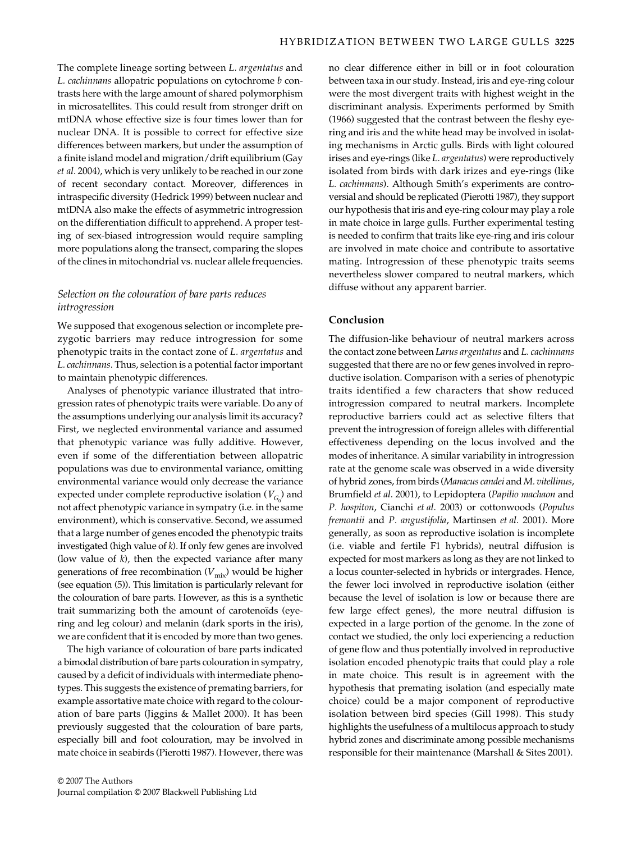The complete lineage sorting between *L. argentatus* and *L. cachinnans* allopatric populations on cytochrome *b* contrasts here with the large amount of shared polymorphism in microsatellites. This could result from stronger drift on mtDNA whose effective size is four times lower than for nuclear DNA. It is possible to correct for effective size differences between markers, but under the assumption of a finite island model and migration/drift equilibrium (Gay *et al*. 2004), which is very unlikely to be reached in our zone of recent secondary contact. Moreover, differences in intraspecific diversity (Hedrick 1999) between nuclear and mtDNA also make the effects of asymmetric introgression on the differentiation difficult to apprehend. A proper testing of sex-biased introgression would require sampling more populations along the transect, comparing the slopes of the clines in mitochondrial vs. nuclear allele frequencies.

# *Selection on the colouration of bare parts reduces introgression*

We supposed that exogenous selection or incomplete prezygotic barriers may reduce introgression for some phenotypic traits in the contact zone of *L. argentatus* and *L. cachinnans*. Thus, selection is a potential factor important to maintain phenotypic differences.

Analyses of phenotypic variance illustrated that introgression rates of phenotypic traits were variable. Do any of the assumptions underlying our analysis limit its accuracy? First, we neglected environmental variance and assumed that phenotypic variance was fully additive. However, even if some of the differentiation between allopatric populations was due to environmental variance, omitting environmental variance would only decrease the variance expected under complete reproductive isolation  $(V_{G_0})$  and not affect phenotypic variance in sympatry (i.e. in the same environment), which is conservative. Second, we assumed that a large number of genes encoded the phenotypic traits investigated (high value of *k*). If only few genes are involved (low value of *k*), then the expected variance after many generations of free recombination  $(V_{mix})$  would be higher (see equation (5)). This limitation is particularly relevant for the colouration of bare parts. However, as this is a synthetic trait summarizing both the amount of carotenoïds (eyering and leg colour) and melanin (dark sports in the iris), we are confident that it is encoded by more than two genes.

The high variance of colouration of bare parts indicated a bimodal distribution of bare parts colouration in sympatry, caused by a deficit of individuals with intermediate phenotypes. This suggests the existence of premating barriers, for example assortative mate choice with regard to the colouration of bare parts (Jiggins & Mallet 2000). It has been previously suggested that the colouration of bare parts, especially bill and foot colouration, may be involved in mate choice in seabirds (Pierotti 1987). However, there was no clear difference either in bill or in foot colouration between taxa in our study. Instead, iris and eye-ring colour were the most divergent traits with highest weight in the discriminant analysis. Experiments performed by Smith (1966) suggested that the contrast between the fleshy eyering and iris and the white head may be involved in isolating mechanisms in Arctic gulls. Birds with light coloured irises and eye-rings (like *L. argentatus*) were reproductively isolated from birds with dark irizes and eye-rings (like *L. cachinnans*). Although Smith's experiments are controversial and should be replicated (Pierotti 1987), they support our hypothesis that iris and eye-ring colour may play a role in mate choice in large gulls. Further experimental testing is needed to confirm that traits like eye-ring and iris colour are involved in mate choice and contribute to assortative mating. Introgression of these phenotypic traits seems nevertheless slower compared to neutral markers, which diffuse without any apparent barrier.

### **Conclusion**

The diffusion-like behaviour of neutral markers across the contact zone between *Larus argentatus* and *L. cachinnans* suggested that there are no or few genes involved in reproductive isolation. Comparison with a series of phenotypic traits identified a few characters that show reduced introgression compared to neutral markers. Incomplete reproductive barriers could act as selective filters that prevent the introgression of foreign alleles with differential effectiveness depending on the locus involved and the modes of inheritance. A similar variability in introgression rate at the genome scale was observed in a wide diversity of hybrid zones, from birds (*Manacus candei* and *M. vitellinus*, Brumfield *et al*. 2001), to Lepidoptera (*Papilio machaon* and *P. hospiton*, Cianchi *et al*. 2003) or cottonwoods (*Populus fremontii* and *P. angustifolia*, Martinsen *et al*. 2001). More generally, as soon as reproductive isolation is incomplete (i.e. viable and fertile F1 hybrids), neutral diffusion is expected for most markers as long as they are not linked to a locus counter-selected in hybrids or intergrades. Hence, the fewer loci involved in reproductive isolation (either because the level of isolation is low or because there are few large effect genes), the more neutral diffusion is expected in a large portion of the genome. In the zone of contact we studied, the only loci experiencing a reduction of gene flow and thus potentially involved in reproductive isolation encoded phenotypic traits that could play a role in mate choice. This result is in agreement with the hypothesis that premating isolation (and especially mate choice) could be a major component of reproductive isolation between bird species (Gill 1998). This study highlights the usefulness of a multilocus approach to study hybrid zones and discriminate among possible mechanisms responsible for their maintenance (Marshall & Sites 2001).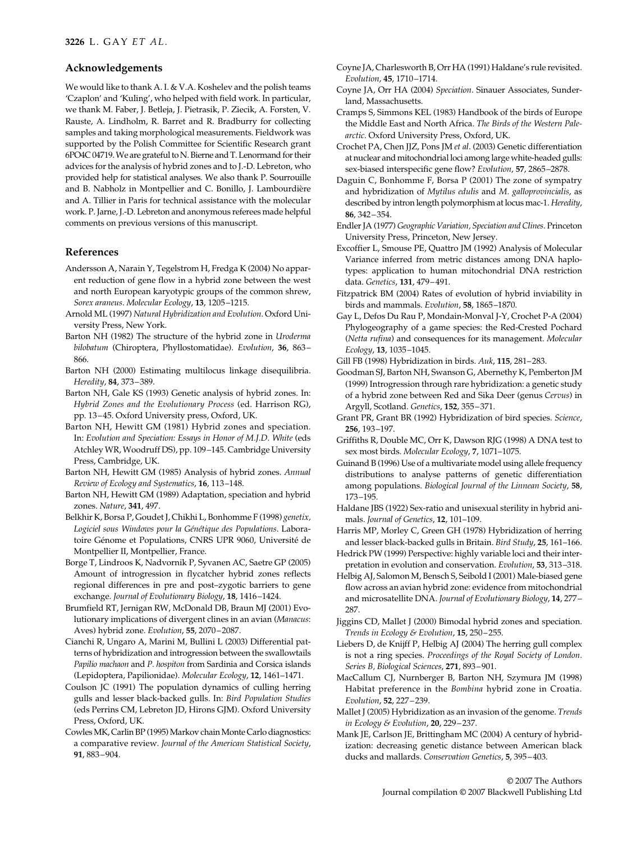#### **Acknowledgements**

We would like to thank A. I. & V.A. Koshelev and the polish teams 'Czaplon' and 'Kuling', who helped with field work. In particular, we thank M. Faber, J. Betleja, J. Pietrasik, P. Ziecik, A. Forsten, V. Rauste, A. Lindholm, R. Barret and R. Bradburry for collecting samples and taking morphological measurements. Fieldwork was supported by the Polish Committee for Scientific Research grant 6PO4C 04719. We are grateful to N. Bierne and T. Lenormand for their advices for the analysis of hybrid zones and to J.-D. Lebreton, who provided help for statistical analyses. We also thank P. Sourrouille and B. Nabholz in Montpellier and C. Bonillo, J. Lambourdière and A. Tillier in Paris for technical assistance with the molecular work. P. Jarne, J.-D. Lebreton and anonymous referees made helpful comments on previous versions of this manuscript.

#### **References**

- Andersson A, Narain Y, Tegelstrom H, Fredga K (2004) No apparent reduction of gene flow in a hybrid zone between the west and north European karyotypic groups of the common shrew, *Sorex araneus*. *Molecular Ecology*, **13**, 1205–1215.
- Arnold ML (1997) *Natural Hybridization and Evolution*. Oxford University Press, New York.
- Barton NH (1982) The structure of the hybrid zone in *Uroderma bilobatum* (Chiroptera, Phyllostomatidae). *Evolution*, **36**, 863– 866.
- Barton NH (2000) Estimating multilocus linkage disequilibria. *Heredity*, **84**, 373–389.
- Barton NH, Gale KS (1993) Genetic analysis of hybrid zones. In: *Hybrid Zones and the Evolutionary Process* (ed. Harrison RG), pp. 13–45. Oxford University press, Oxford, UK.
- Barton NH, Hewitt GM (1981) Hybrid zones and speciation. In: *Evolution and Speciation: Essays in Honor of M.J.D. White* (eds Atchley WR, Woodruff DS), pp. 109–145. Cambridge University Press, Cambridge, UK.
- Barton NH, Hewitt GM (1985) Analysis of hybrid zones. *Annual Review of Ecology and Systematics*, **16**, 113–148.
- Barton NH, Hewitt GM (1989) Adaptation, speciation and hybrid zones. *Nature*, **341**, 497.
- Belkhir K, Borsa P, Goudet J, Chikhi L, Bonhomme F (1998) *genetix, Logiciel sous Windows pour la Génétique des Populations*. Laboratoire Génome et Populations, CNRS UPR 9060, Université de Montpellier II, Montpellier, France.
- Borge T, Lindroos K, Nadvornik P, Syvanen AC, Saetre GP (2005) Amount of introgression in flycatcher hybrid zones reflects regional differences in pre and post–zygotic barriers to gene exchange. *Journal of Evolutionary Biology*, **18**, 1416–1424.
- Brumfield RT, Jernigan RW, McDonald DB, Braun MJ (2001) Evolutionary implications of divergent clines in an avian (*Manacus*: Aves) hybrid zone. *Evolution*, **55**, 2070–2087.
- Cianchi R, Ungaro A, Marini M, Bullini L (2003) Differential patterns of hybridization and introgression between the swallowtails *Papilio machaon* and *P. hospiton* from Sardinia and Corsica islands (Lepidoptera, Papilionidae). *Molecular Ecology*, **12**, 1461–1471.
- Coulson JC (1991) The population dynamics of culling herring gulls and lesser black-backed gulls. In: *Bird Population Studies* (eds Perrins CM, Lebreton JD, Hirons GJM). Oxford University Press, Oxford, UK.
- Cowles MK, Carlin BP (1995) Markov chain Monte Carlo diagnostics: a comparative review. *Journal of the American Statistical Society*, **91**, 883–904.
- Coyne JA, Charlesworth B, Orr HA (1991) Haldane's rule revisited. *Evolution*, **45**, 1710–1714.
- Coyne JA, Orr HA (2004) *Speciation*. Sinauer Associates, Sunderland, Massachusetts.
- Cramps S, Simmons KEL (1983) Handbook of the birds of Europe the Middle East and North Africa. *The Birds of the Western Palearctic*. Oxford University Press, Oxford, UK.
- Crochet PA, Chen JJZ, Pons JM *et al*. (2003) Genetic differentiation at nuclear and mitochondrial loci among large white-headed gulls: sex-biased interspecific gene flow? *Evolution*, **57**, 2865–2878.
- Daguin C, Bonhomme F, Borsa P (2001) The zone of sympatry and hybridization of *Mytilus edulis* and *M. galloprovincialis*, as described by intron length polymorphism at locus mac-1. *Heredity*, **86**, 342–354.
- Endler JA (1977) *Geographic Variation, Speciation and Clines*. Princeton University Press, Princeton, New Jersey.
- Excoffier L, Smouse PE, Quattro JM (1992) Analysis of Molecular Variance inferred from metric distances among DNA haplotypes: application to human mitochondrial DNA restriction data. *Genetics*, **131**, 479–491.
- Fitzpatrick BM (2004) Rates of evolution of hybrid inviability in birds and mammals. *Evolution*, **58**, 1865–1870.
- Gay L, Defos Du Rau P, Mondain-Monval J-Y, Crochet P-A (2004) Phylogeography of a game species: the Red-Crested Pochard (*Netta rufina*) and consequences for its management. *Molecular Ecology*, **13**, 1035–1045.

Gill FB (1998) Hybridization in birds. *Auk*, **115**, 281–283.

- Goodman SJ, Barton NH, Swanson G, Abernethy K, Pemberton JM (1999) Introgression through rare hybridization: a genetic study of a hybrid zone between Red and Sika Deer (genus *Cervus*) in Argyll, Scotland. *Genetics*, **152**, 355–371.
- Grant PR, Grant BR (1992) Hybridization of bird species. *Science*, **256**, 193–197.
- Griffiths R, Double MC, Orr K, Dawson RJG (1998) A DNA test to sex most birds. *Molecular Ecology*, **7**, 1071–1075.
- Guinand B (1996) Use of a multivariate model using allele frequency distributions to analyse patterns of genetic differentiation among populations. *Biological Journal of the Linnean Society*, **58**, 173–195.
- Haldane JBS (1922) Sex-ratio and unisexual sterility in hybrid animals. *Journal of Genetics*, **12**, 101–109.

Harris MP, Morley C, Green GH (1978) Hybridization of herring and lesser black-backed gulls in Britain. *Bird Study*, **25**, 161–166.

- Hedrick PW (1999) Perspective: highly variable loci and their interpretation in evolution and conservation. *Evolution*, **53**, 313–318.
- Helbig AJ, Salomon M, Bensch S, Seibold I (2001) Male-biased gene flow across an avian hybrid zone: evidence from mitochondrial and microsatellite DNA. *Journal of Evolutionary Biology*, **14**, 277– 287
- Jiggins CD, Mallet J (2000) Bimodal hybrid zones and speciation. *Trends in Ecology & Evolution*, **15**, 250–255.
- Liebers D, de Knijff P, Helbig AJ (2004) The herring gull complex is not a ring species. *Proceedings of the Royal Society of London. Series B, Biological Sciences*, **271**, 893–901.
- MacCallum CJ, Nurnberger B, Barton NH, Szymura JM (1998) Habitat preference in the *Bombina* hybrid zone in Croatia. *Evolution*, **52**, 227–239.
- Mallet J (2005) Hybridization as an invasion of the genome. *Trends in Ecology & Evolution*, **20**, 229–237.
- Mank JE, Carlson JE, Brittingham MC (2004) A century of hybridization: decreasing genetic distance between American black ducks and mallards. *Conservation Genetics*, **5**, 395–403.